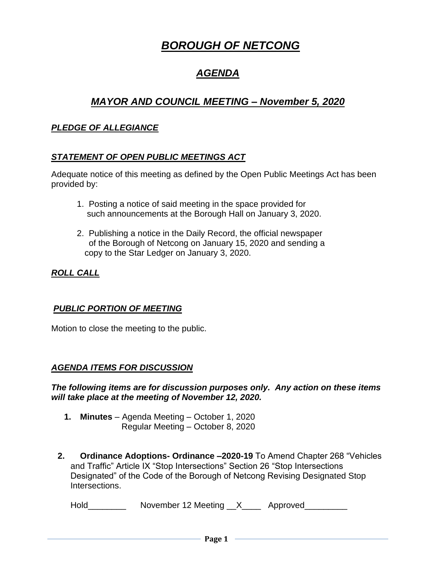# *BOROUGH OF NETCONG*

# *AGENDA*

## *MAYOR AND COUNCIL MEETING – November 5, 2020*

#### *PLEDGE OF ALLEGIANCE*

## *STATEMENT OF OPEN PUBLIC MEETINGS ACT*

Adequate notice of this meeting as defined by the Open Public Meetings Act has been provided by:

- 1. Posting a notice of said meeting in the space provided for such announcements at the Borough Hall on January 3, 2020.
- 2. Publishing a notice in the Daily Record, the official newspaper of the Borough of Netcong on January 15, 2020 and sending a copy to the Star Ledger on January 3, 2020.

*ROLL CALL*

#### *PUBLIC PORTION OF MEETING*

Motion to close the meeting to the public.

#### *AGENDA ITEMS FOR DISCUSSION*

*The following items are for discussion purposes only. Any action on these items will take place at the meeting of November 12, 2020.*

- **1. Minutes** Agenda Meeting October 1, 2020 Regular Meeting – October 8, 2020
- **2. Ordinance Adoptions- Ordinance –2020-19** To Amend Chapter 268 "Vehicles and Traffic" Article IX "Stop Intersections" Section 26 "Stop Intersections Designated" of the Code of the Borough of Netcong Revising Designated Stop Intersections.

Hold \_\_\_\_\_\_\_\_ November 12 Meeting \_\_X\_\_\_\_ Approved\_\_\_\_\_\_\_\_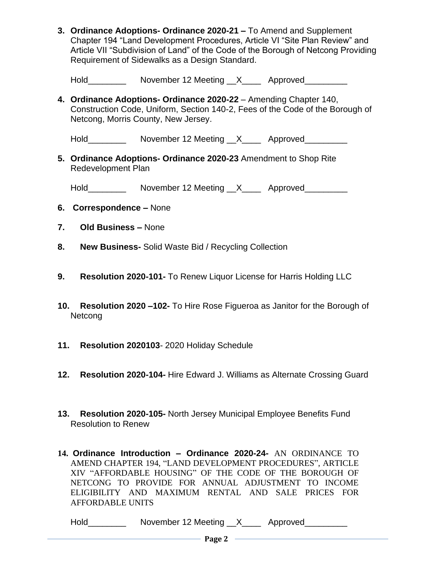- **3. Ordinance Adoptions- Ordinance 2020-21 –** To Amend and Supplement Chapter 194 "Land Development Procedures, Article VI "Site Plan Review" and Article VII "Subdivision of Land" of the Code of the Borough of Netcong Providing Requirement of Sidewalks as a Design Standard.
	- Hold Movember 12 Meeting X Approved
- **4. Ordinance Adoptions- Ordinance 2020-22** Amending Chapter 140, Construction Code, Uniform, Section 140-2, Fees of the Code of the Borough of Netcong, Morris County, New Jersey.

Hold\_\_\_\_\_\_\_\_\_\_\_\_\_\_ November 12 Meeting \_\_X\_\_\_\_\_\_ Approved\_\_\_\_\_\_\_\_\_\_\_\_\_\_\_\_\_\_\_\_\_\_\_

**5. Ordinance Adoptions- Ordinance 2020-23** Amendment to Shop Rite Redevelopment Plan

Hold\_\_\_\_\_\_\_\_\_\_\_\_ November 12 Meeting \_\_X\_\_\_\_\_ Approved\_\_\_\_\_\_\_\_\_

- **6. Correspondence –** None
- **7. Old Business –** None
- **8. New Business-** Solid Waste Bid / Recycling Collection
- **9. Resolution 2020-101-** To Renew Liquor License for Harris Holding LLC
- **10. Resolution 2020 –102-** To Hire Rose Figueroa as Janitor for the Borough of Netcong
- **11. Resolution 2020103** 2020 Holiday Schedule
- **12. Resolution 2020-104-** Hire Edward J. Williams as Alternate Crossing Guard
- **13. Resolution 2020-105-** North Jersey Municipal Employee Benefits Fund Resolution to Renew
- **14. Ordinance Introduction – Ordinance 2020-24-** AN ORDINANCE TO AMEND CHAPTER 194, "LAND DEVELOPMENT PROCEDURES", ARTICLE XIV "AFFORDABLE HOUSING" OF THE CODE OF THE BOROUGH OF NETCONG TO PROVIDE FOR ANNUAL ADJUSTMENT TO INCOME ELIGIBILITY AND MAXIMUM RENTAL AND SALE PRICES FOR AFFORDABLE UNITS

Hold\_\_\_\_\_\_\_\_\_\_\_ November 12 Meeting \_\_X\_\_\_\_\_ Approved\_\_\_\_\_\_\_\_\_